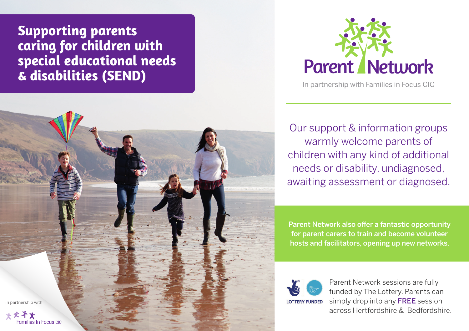**Supporting parents caring for children with special educational needs & disabilities (SEND)**





In partnership with Families in Focus CIC

Our support & information groups warmly welcome parents of children with any kind of additional needs or disability, undiagnosed, awaiting assessment or diagnosed.

Parent Network also offer a fantastic opportunity for parent carers to train and become volunteer hosts and facilitators, opening up new networks.



Parent Network sessions are fully funded by The Lottery. Parents can simply drop into any FREE session across Hertfordshire & Bedfordshire.